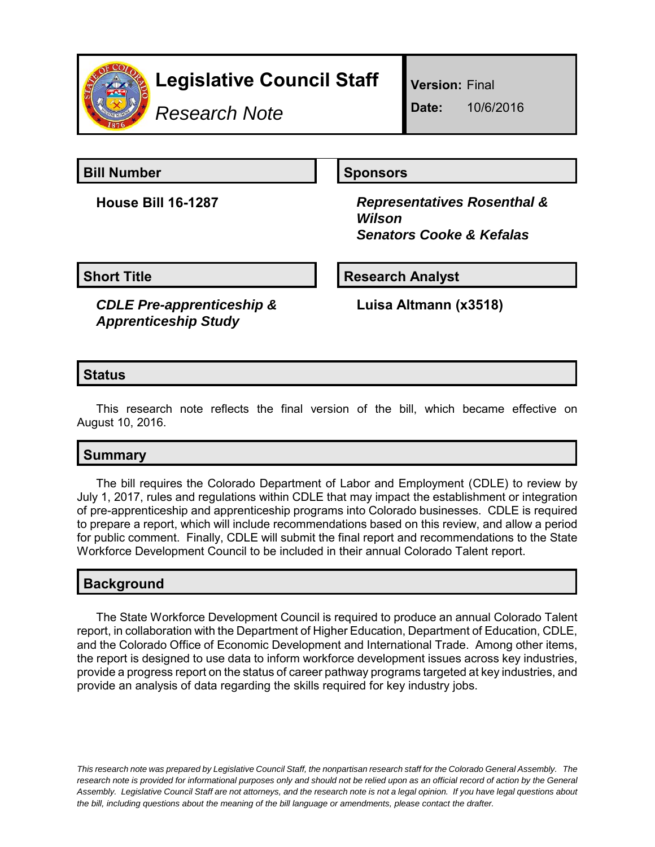

# **Legislative Council Staff**

*Research Note*

**Version:** Final

**Date:** 10/6/2016

**Bill Number Sponsors** 

**House Bill 16-1287** *Representatives Rosenthal & Wilson Senators Cooke & Kefalas*

**Short Title**  Research Analyst

*CDLE Pre-apprenticeship & Apprenticeship Study*

**Luisa Altmann (x3518)**

# **Status**

This research note reflects the final version of the bill, which became effective on August 10, 2016.

# **Summary**

The bill requires the Colorado Department of Labor and Employment (CDLE) to review by July 1, 2017, rules and regulations within CDLE that may impact the establishment or integration of pre-apprenticeship and apprenticeship programs into Colorado businesses. CDLE is required to prepare a report, which will include recommendations based on this review, and allow a period for public comment. Finally, CDLE will submit the final report and recommendations to the State Workforce Development Council to be included in their annual Colorado Talent report.

# **Background**

The State Workforce Development Council is required to produce an annual Colorado Talent report, in collaboration with the Department of Higher Education, Department of Education, CDLE, and the Colorado Office of Economic Development and International Trade. Among other items, the report is designed to use data to inform workforce development issues across key industries, provide a progress report on the status of career pathway programs targeted at key industries, and provide an analysis of data regarding the skills required for key industry jobs.

*This research note was prepared by Legislative Council Staff, the nonpartisan research staff for the Colorado General Assembly. The research note is provided for informational purposes only and should not be relied upon as an official record of action by the General Assembly. Legislative Council Staff are not attorneys, and the research note is not a legal opinion. If you have legal questions about the bill, including questions about the meaning of the bill language or amendments, please contact the drafter.*